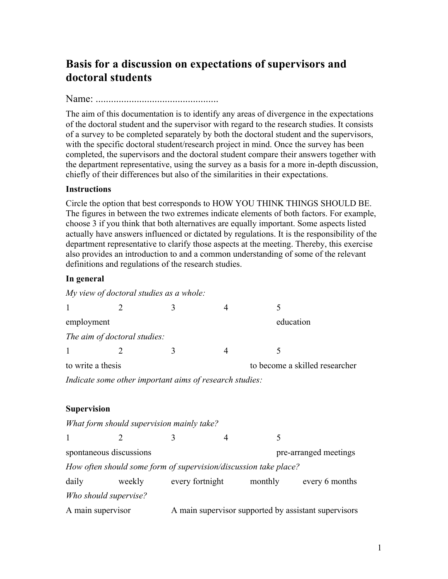# **Basis for a discussion on expectations of supervisors and doctoral students**

Name: ................................................

The aim of this documentation is to identify any areas of divergence in the expectations of the doctoral student and the supervisor with regard to the research studies. It consists of a survey to be completed separately by both the doctoral student and the supervisors, with the specific doctoral student/research project in mind. Once the survey has been completed, the supervisors and the doctoral student compare their answers together with the department representative, using the survey as a basis for a more in-depth discussion, chiefly of their differences but also of the similarities in their expectations.

### **Instructions**

Circle the option that best corresponds to HOW YOU THINK THINGS SHOULD BE. The figures in between the two extremes indicate elements of both factors. For example, choose 3 if you think that both alternatives are equally important. Some aspects listed actually have answers influenced or dictated by regulations. It is the responsibility of the department representative to clarify those aspects at the meeting. Thereby, this exercise also provides an introduction to and a common understanding of some of the relevant definitions and regulations of the research studies.

### **In general**

| $\mathbf{1}$                                            | $\overline{2}$                                                   | 3                                                    | 4              | 5 |                                |  |  |  |
|---------------------------------------------------------|------------------------------------------------------------------|------------------------------------------------------|----------------|---|--------------------------------|--|--|--|
| employment                                              |                                                                  |                                                      |                |   | education                      |  |  |  |
|                                                         | The aim of doctoral studies:                                     |                                                      |                |   |                                |  |  |  |
| $\mathbf{1}$                                            |                                                                  | 3                                                    | $\overline{4}$ | 5 |                                |  |  |  |
| to write a thesis                                       |                                                                  |                                                      |                |   | to become a skilled researcher |  |  |  |
| Indicate some other important aims of research studies: |                                                                  |                                                      |                |   |                                |  |  |  |
|                                                         |                                                                  |                                                      |                |   |                                |  |  |  |
| <b>Supervision</b>                                      |                                                                  |                                                      |                |   |                                |  |  |  |
|                                                         | What form should supervision mainly take?                        |                                                      |                |   |                                |  |  |  |
| 1                                                       | $\mathcal{D}_{\mathcal{L}}$                                      | 3                                                    | $\overline{4}$ | 5 |                                |  |  |  |
| spontaneous discussions                                 |                                                                  |                                                      |                |   | pre-arranged meetings          |  |  |  |
|                                                         | How often should some form of supervision/discussion take place? |                                                      |                |   |                                |  |  |  |
| daily                                                   |                                                                  | weekly every fortnight monthly every 6 months        |                |   |                                |  |  |  |
| Who should supervise?                                   |                                                                  |                                                      |                |   |                                |  |  |  |
| A main supervisor                                       |                                                                  | A main supervisor supported by assistant supervisors |                |   |                                |  |  |  |
|                                                         |                                                                  |                                                      |                |   |                                |  |  |  |

*My view of doctoral studies as a whole:*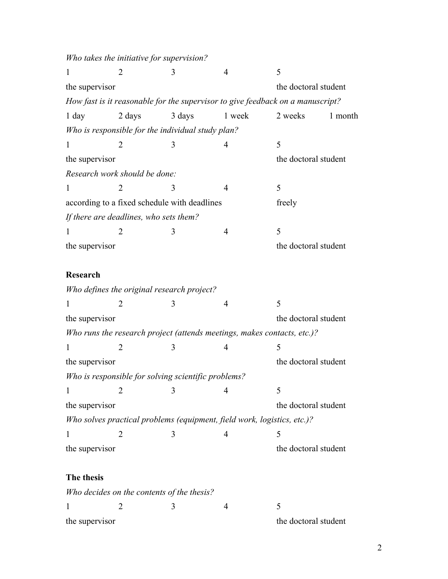*Who takes the initiative for supervision?*  $1 2 3 4 5$ the supervisor the doctoral student the doctoral student *How fast is it reasonable for the supervisor to give feedback on a manuscript?* 1 day 2 days 3 days 1 week 2 weeks 1 month *Who is responsible for the individual study plan?*  $1 2 3 4 5$ the supervisor the doctoral student *Research work should be done:*  $1 2 3 4 5$ according to a fixed schedule with deadlines freely *If there are deadlines, who sets them?*  $1 2 3 4 5$ the supervisor the doctoral student **Research** *Who defines the original research project?*  $1 2 3 4 5$ the supervisor the doctoral student *Who runs the research project (attends meetings, makes contacts, etc.)?*  $1 2 3 4 5$ the supervisor the doctoral student *Who is responsible for solving scientific problems?*  $1 2 3 4 5$ the supervisor the doctoral student *Who solves practical problems (equipment, field work, logistics, etc.)?*  $1 2 3 4 5$ the supervisor the doctoral student **The thesis** *Who decides on the contents of the thesis?*  $1 2 3 4 5$ 

the supervisor the doctoral student

2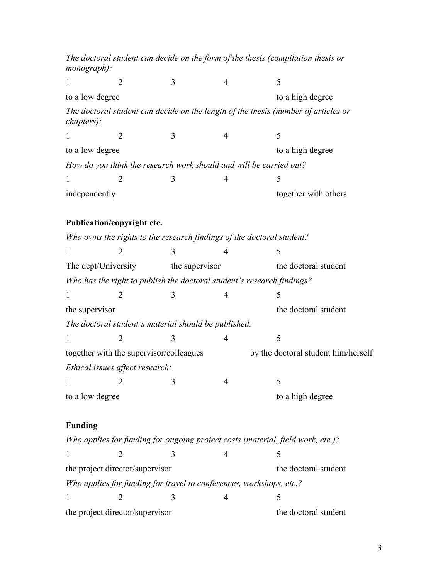*The doctoral student can decide on the form of the thesis (compilation thesis or monograph):*  $1 2 3 4 5$ to a low degree to a high degree *The doctoral student can decide on the length of the thesis (number of articles or chapters):*  $1 2 3 4 5$ to a low degree to a high degree *How do you think the research work should and will be carried out?*  $1 2 3 4 5$ independently together with others **Publication/copyright etc.** *Who owns the rights to the research findings of the doctoral student?*  $1 2 3 4 5$ The dept/University the supervisor the doctoral student *Who has the right to publish the doctoral student's research findings?*  $1 2 3 4 5$ the supervisor the doctoral student *The doctoral student's material should be published:*  $1 2 3 4 5$ together with the supervisor/colleagues by the doctoral student him/herself *Ethical issues affect research:*  $1 2 3 4 5$ to a low degree to a high degree **Funding** *Who applies for funding for ongoing project costs (material, field work, etc.)?*  $1 2 3 4 5$ the project director/supervisor the doctoral student *Who applies for funding for travel to conferences, workshops, etc.?*  $1 2 3 4 5$ the project director/supervisor the doctoral student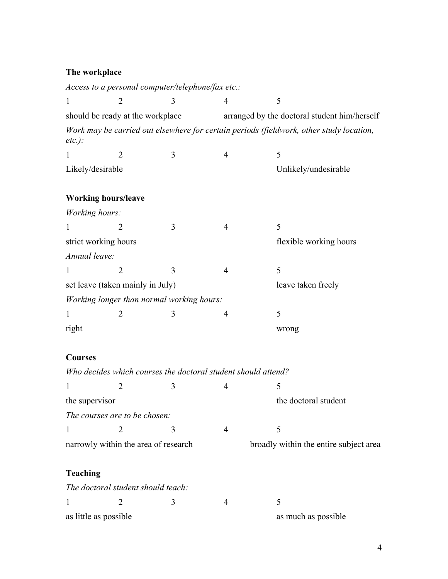## **The workplace**

|                                      |                                    | Access to a personal computer/telephone/fax etc.:             |                                              |                                                                                         |  |
|--------------------------------------|------------------------------------|---------------------------------------------------------------|----------------------------------------------|-----------------------------------------------------------------------------------------|--|
| 1                                    | $\overline{2}$                     | 3                                                             | $\overline{4}$                               | 5                                                                                       |  |
| should be ready at the workplace     |                                    |                                                               | arranged by the doctoral student him/herself |                                                                                         |  |
| $etc.$ ):                            |                                    |                                                               |                                              | Work may be carried out elsewhere for certain periods (fieldwork, other study location, |  |
| 1                                    | $\overline{2}$                     | 3                                                             | 4                                            | 5                                                                                       |  |
| Likely/desirable                     |                                    |                                                               |                                              | Unlikely/undesirable                                                                    |  |
|                                      | <b>Working hours/leave</b>         |                                                               |                                              |                                                                                         |  |
| Working hours:                       |                                    |                                                               |                                              |                                                                                         |  |
| 1                                    | $\overline{2}$                     | 3                                                             | $\overline{4}$                               | 5                                                                                       |  |
|                                      | strict working hours               |                                                               |                                              | flexible working hours                                                                  |  |
| Annual leave:                        |                                    |                                                               |                                              |                                                                                         |  |
| $\mathbf{1}$                         | $\overline{2}$                     | 3                                                             | $\overline{4}$                               | 5                                                                                       |  |
| set leave (taken mainly in July)     |                                    |                                                               |                                              | leave taken freely                                                                      |  |
|                                      |                                    | Working longer than normal working hours:                     |                                              |                                                                                         |  |
| 1                                    | $\overline{2}$                     | 3                                                             | $\overline{4}$                               | 5                                                                                       |  |
| right                                |                                    |                                                               |                                              | wrong                                                                                   |  |
| <b>Courses</b>                       |                                    |                                                               |                                              |                                                                                         |  |
|                                      |                                    | Who decides which courses the doctoral student should attend? |                                              |                                                                                         |  |
| 1                                    | 2                                  | 3                                                             | 4                                            | 5                                                                                       |  |
| the supervisor                       |                                    |                                                               |                                              | the doctoral student                                                                    |  |
|                                      | The courses are to be chosen:      |                                                               |                                              |                                                                                         |  |
| 1                                    | $\overline{2}$                     | 3                                                             | 4                                            | 5                                                                                       |  |
| narrowly within the area of research |                                    |                                                               |                                              | broadly within the entire subject area                                                  |  |
| <b>Teaching</b>                      |                                    |                                                               |                                              |                                                                                         |  |
|                                      | The doctoral student should teach: |                                                               |                                              |                                                                                         |  |
| 1                                    | $\overline{2}$                     | 3                                                             | 4                                            | 5                                                                                       |  |
|                                      | as little as possible              |                                                               |                                              | as much as possible                                                                     |  |